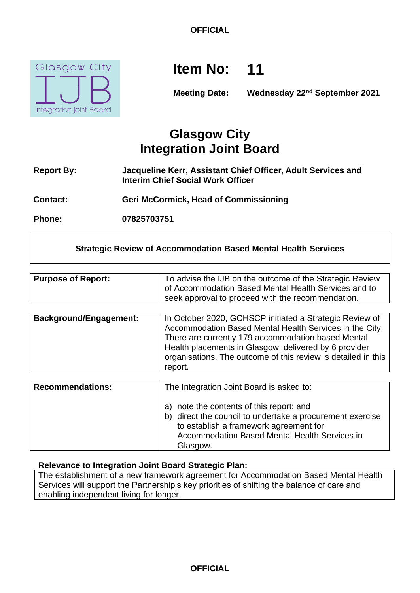

# **Item No: 11**

**Meeting Date: Wednesday 22nd September 2021**

# **Glasgow City Integration Joint Board**

- **Report By: Jacqueline Kerr, Assistant Chief Officer, Adult Services and Interim Chief Social Work Officer**
- **Contact: Geri McCormick, Head of Commissioning**

**Phone: 07825703751**

# **Strategic Review of Accommodation Based Mental Health Services**

| <b>Purpose of Report:</b>     | To advise the IJB on the outcome of the Strategic Review<br>of Accommodation Based Mental Health Services and to<br>seek approval to proceed with the recommendation.                                                                                                                                         |
|-------------------------------|---------------------------------------------------------------------------------------------------------------------------------------------------------------------------------------------------------------------------------------------------------------------------------------------------------------|
|                               |                                                                                                                                                                                                                                                                                                               |
| <b>Background/Engagement:</b> | In October 2020, GCHSCP initiated a Strategic Review of<br>Accommodation Based Mental Health Services in the City.<br>There are currently 179 accommodation based Mental<br>Health placements in Glasgow, delivered by 6 provider<br>organisations. The outcome of this review is detailed in this<br>report. |
|                               |                                                                                                                                                                                                                                                                                                               |
| <b>Recommendations:</b>       | The Integration Joint Board is asked to:                                                                                                                                                                                                                                                                      |
|                               |                                                                                                                                                                                                                                                                                                               |

| a) note the contents of this report; and                  |
|-----------------------------------------------------------|
| b) direct the council to undertake a procurement exercise |
| to establish a framework agreement for                    |
| Accommodation Based Mental Health Services in             |
| Glasgow.                                                  |

#### **Relevance to Integration Joint Board Strategic Plan:**

The establishment of a new framework agreement for Accommodation Based Mental Health Services will support the Partnership's key priorities of shifting the balance of care and enabling independent living for longer.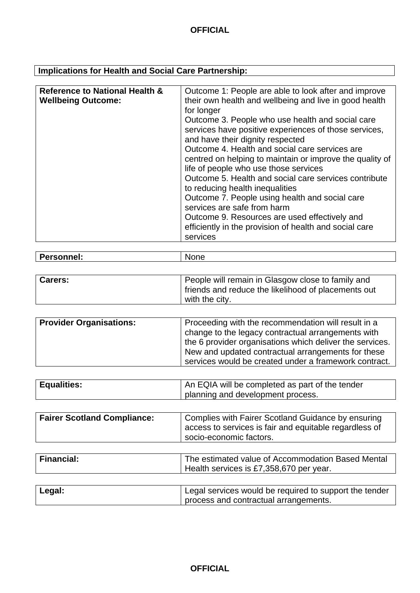# **Implications for Health and Social Care Partnership:**

| <b>Reference to National Health &amp;</b> | Outcome 1: People are able to look after and improve     |
|-------------------------------------------|----------------------------------------------------------|
| <b>Wellbeing Outcome:</b>                 | their own health and wellbeing and live in good health   |
|                                           | for longer                                               |
|                                           | Outcome 3. People who use health and social care         |
|                                           | services have positive experiences of those services,    |
|                                           | and have their dignity respected                         |
|                                           | Outcome 4. Health and social care services are           |
|                                           | centred on helping to maintain or improve the quality of |
|                                           | life of people who use those services                    |
|                                           | Outcome 5. Health and social care services contribute    |
|                                           | to reducing health inequalities                          |
|                                           | Outcome 7. People using health and social care           |
|                                           | services are safe from harm                              |
|                                           | Outcome 9. Resources are used effectively and            |
|                                           | efficiently in the provision of health and social care   |
|                                           | services                                                 |
|                                           |                                                          |

| IМ<br>ו זר<br>. וסו<br>- co<br>. . | $\overline{\phantom{a}}$<br>Dor.<br>nn |  |
|------------------------------------|----------------------------------------|--|
|------------------------------------|----------------------------------------|--|

| <b>Carers:</b> | People will remain in Glasgow close to family and<br>friends and reduce the likelihood of placements out |
|----------------|----------------------------------------------------------------------------------------------------------|
|                | with the city.                                                                                           |

| <b>Equalities:</b> | $\mu$ An EQIA will be completed as part of the tender |
|--------------------|-------------------------------------------------------|
|                    | planning and development process.                     |

| <b>Fairer Scotland Compliance:</b> | Complies with Fairer Scotland Guidance by ensuring<br>I access to services is fair and equitable regardless of |
|------------------------------------|----------------------------------------------------------------------------------------------------------------|
|                                    | socio-economic factors.                                                                                        |

| <b>Financial:</b> | The estimated value of Accommodation Based Mental<br>Health services is £7,358,670 per year. |
|-------------------|----------------------------------------------------------------------------------------------|
|                   |                                                                                              |

| Legal: | Legal services would be required to support the tender |
|--------|--------------------------------------------------------|
|        | process and contractual arrangements.                  |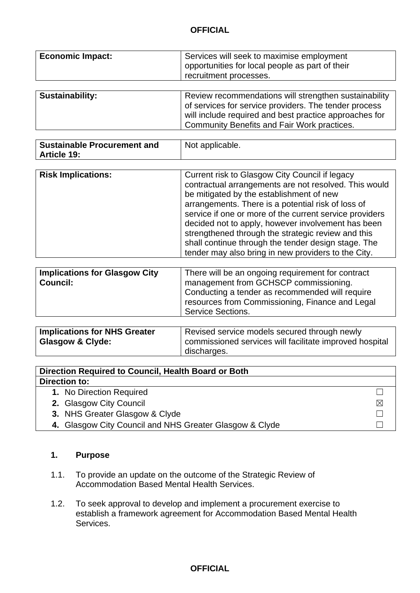| <b>Economic Impact:</b> | Services will seek to maximise employment<br>opportunities for local people as part of their<br>recruitment processes.                                                                                                  |  |
|-------------------------|-------------------------------------------------------------------------------------------------------------------------------------------------------------------------------------------------------------------------|--|
| Sustainability:         | Review recommendations will strengthen sustainability<br>of services for service providers. The tender process<br>will include required and best practice approaches for<br>Community Benefits and Fair Work practices. |  |

| <b>Sustainable Procurement and</b><br>Not applicable.<br><b>Article 19:</b> |  |
|-----------------------------------------------------------------------------|--|
|-----------------------------------------------------------------------------|--|

| <b>Risk Implications:</b> | Current risk to Glasgow City Council if legacy<br>contractual arrangements are not resolved. This would<br>be mitigated by the establishment of new<br>arrangements. There is a potential risk of loss of<br>service if one or more of the current service providers<br>decided not to apply, however involvement has been<br>strengthened through the strategic review and this |
|---------------------------|----------------------------------------------------------------------------------------------------------------------------------------------------------------------------------------------------------------------------------------------------------------------------------------------------------------------------------------------------------------------------------|
|                           | shall continue through the tender design stage. The<br>tender may also bring in new providers to the City.                                                                                                                                                                                                                                                                       |
|                           |                                                                                                                                                                                                                                                                                                                                                                                  |

| Conducting a tender as recommended will require<br>resources from Commissioning, Finance and Legal | <b>Implications for Glasgow City</b><br><b>Council:</b> | There will be an ongoing requirement for contract<br>management from GCHSCP commissioning.<br><b>Service Sections.</b> |
|----------------------------------------------------------------------------------------------------|---------------------------------------------------------|------------------------------------------------------------------------------------------------------------------------|
|                                                                                                    |                                                         |                                                                                                                        |

| <b>Implications for NHS Greater</b> | Revised service models secured through newly            |
|-------------------------------------|---------------------------------------------------------|
| Glasgow & Clyde:                    | commissioned services will facilitate improved hospital |
|                                     | discharges.                                             |

| Direction Required to Council, Health Board or Both     |   |  |
|---------------------------------------------------------|---|--|
| Direction to:                                           |   |  |
| 1. No Direction Required                                |   |  |
| 2. Glasgow City Council                                 | ⊠ |  |
| 3. NHS Greater Glasgow & Clyde                          |   |  |
| 4. Glasgow City Council and NHS Greater Glasgow & Clyde |   |  |

# **1. Purpose**

- 1.1. To provide an update on the outcome of the Strategic Review of Accommodation Based Mental Health Services.
- 1.2. To seek approval to develop and implement a procurement exercise to establish a framework agreement for Accommodation Based Mental Health Services.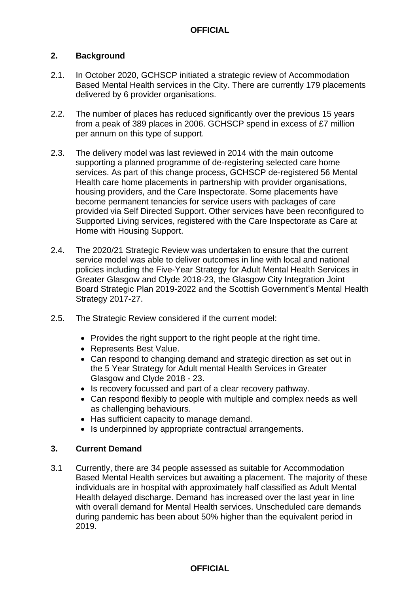#### **2. Background**

- 2.1. In October 2020, GCHSCP initiated a strategic review of Accommodation Based Mental Health services in the City. There are currently 179 placements delivered by 6 provider organisations.
- 2.2. The number of places has reduced significantly over the previous 15 years from a peak of 389 places in 2006. GCHSCP spend in excess of £7 million per annum on this type of support.
- 2.3. The delivery model was last reviewed in 2014 with the main outcome supporting a planned programme of de-registering selected care home services. As part of this change process, GCHSCP de-registered 56 Mental Health care home placements in partnership with provider organisations, housing providers, and the Care Inspectorate. Some placements have become permanent tenancies for service users with packages of care provided via Self Directed Support. Other services have been reconfigured to Supported Living services, registered with the Care Inspectorate as Care at Home with Housing Support.
- 2.4. The 2020/21 Strategic Review was undertaken to ensure that the current service model was able to deliver outcomes in line with local and national policies including the Five-Year Strategy for Adult Mental Health Services in Greater Glasgow and Clyde 2018-23, the Glasgow City Integration Joint Board Strategic Plan 2019-2022 and the Scottish Government's Mental Health Strategy 2017-27.
- 2.5. The Strategic Review considered if the current model:
	- Provides the right support to the right people at the right time.
	- Represents Best Value.
	- Can respond to changing demand and strategic direction as set out in the 5 Year Strategy for Adult mental Health Services in Greater Glasgow and Clyde 2018 - 23.
	- Is recovery focussed and part of a clear recovery pathway.
	- Can respond flexibly to people with multiple and complex needs as well as challenging behaviours.
	- Has sufficient capacity to manage demand.
	- Is underpinned by appropriate contractual arrangements.

#### **3. Current Demand**

3.1 Currently, there are 34 people assessed as suitable for Accommodation Based Mental Health services but awaiting a placement. The majority of these individuals are in hospital with approximately half classified as Adult Mental Health delayed discharge. Demand has increased over the last year in line with overall demand for Mental Health services. Unscheduled care demands during pandemic has been about 50% higher than the equivalent period in 2019.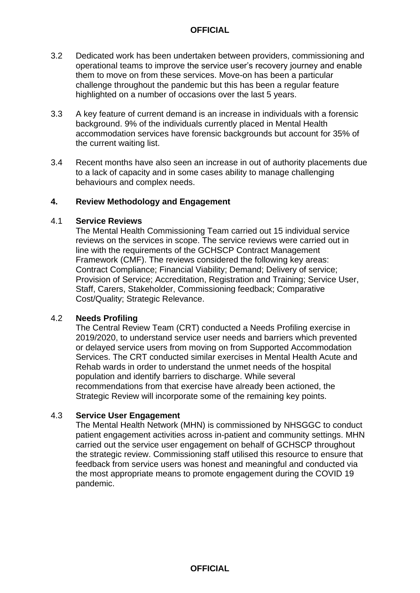- 3.2 Dedicated work has been undertaken between providers, commissioning and operational teams to improve the service user's recovery journey and enable them to move on from these services. Move-on has been a particular challenge throughout the pandemic but this has been a regular feature highlighted on a number of occasions over the last 5 years.
- 3.3 A key feature of current demand is an increase in individuals with a forensic background. 9% of the individuals currently placed in Mental Health accommodation services have forensic backgrounds but account for 35% of the current waiting list.
- 3.4 Recent months have also seen an increase in out of authority placements due to a lack of capacity and in some cases ability to manage challenging behaviours and complex needs.

#### **4. Review Methodology and Engagement**

#### 4.1 **Service Reviews**

The Mental Health Commissioning Team carried out 15 individual service reviews on the services in scope. The service reviews were carried out in line with the requirements of the GCHSCP Contract Management Framework (CMF). The reviews considered the following key areas: Contract Compliance; Financial Viability; Demand; Delivery of service; Provision of Service; Accreditation, Registration and Training; Service User, Staff, Carers, Stakeholder, Commissioning feedback; Comparative Cost/Quality; Strategic Relevance.

#### 4.2 **Needs Profiling**

The Central Review Team (CRT) conducted a Needs Profiling exercise in 2019/2020, to understand service user needs and barriers which prevented or delayed service users from moving on from Supported Accommodation Services. The CRT conducted similar exercises in Mental Health Acute and Rehab wards in order to understand the unmet needs of the hospital population and identify barriers to discharge. While several recommendations from that exercise have already been actioned, the Strategic Review will incorporate some of the remaining key points.

#### 4.3 **Service User Engagement**

The Mental Health Network (MHN) is commissioned by NHSGGC to conduct patient engagement activities across in-patient and community settings. MHN carried out the service user engagement on behalf of GCHSCP throughout the strategic review. Commissioning staff utilised this resource to ensure that feedback from service users was honest and meaningful and conducted via the most appropriate means to promote engagement during the COVID 19 pandemic.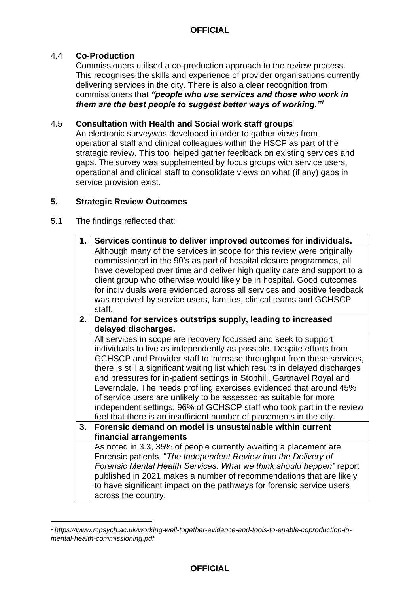#### 4.4 **Co-Production**

Commissioners utilised a co-production approach to the review process. This recognises the skills and experience of provider organisations currently delivering services in the city. There is also a clear recognition from commissioners that *"people who use services and those who work in them are the best people to suggest better ways of working."<sup>1</sup>*

#### 4.5 **Consultation with Health and Social work staff groups**

An electronic surveywas developed in order to gather views from operational staff and clinical colleagues within the HSCP as part of the strategic review. This tool helped gather feedback on existing services and gaps. The survey was supplemented by focus groups with service users, operational and clinical staff to consolidate views on what (if any) gaps in service provision exist.

#### **5. Strategic Review Outcomes**

#### 5.1 The findings reflected that:

1

| 1. | Services continue to deliver improved outcomes for individuals.                                                                                                                                                                                                                                                                                                                                                                                                                                                                                                                                                                                                            |  |
|----|----------------------------------------------------------------------------------------------------------------------------------------------------------------------------------------------------------------------------------------------------------------------------------------------------------------------------------------------------------------------------------------------------------------------------------------------------------------------------------------------------------------------------------------------------------------------------------------------------------------------------------------------------------------------------|--|
|    | Although many of the services in scope for this review were originally<br>commissioned in the 90's as part of hospital closure programmes, all<br>have developed over time and deliver high quality care and support to a<br>client group who otherwise would likely be in hospital. Good outcomes<br>for individuals were evidenced across all services and positive feedback<br>was received by service users, families, clinical teams and GCHSCP<br>staff.                                                                                                                                                                                                             |  |
| 2. | Demand for services outstrips supply, leading to increased<br>delayed discharges.                                                                                                                                                                                                                                                                                                                                                                                                                                                                                                                                                                                          |  |
|    | All services in scope are recovery focussed and seek to support<br>individuals to live as independently as possible. Despite efforts from<br>GCHSCP and Provider staff to increase throughput from these services,<br>there is still a significant waiting list which results in delayed discharges<br>and pressures for in-patient settings in Stobhill, Gartnavel Royal and<br>Leverndale. The needs profiling exercises evidenced that around 45%<br>of service users are unlikely to be assessed as suitable for more<br>independent settings. 96% of GCHSCP staff who took part in the review<br>feel that there is an insufficient number of placements in the city. |  |
| 3. | Forensic demand on model is unsustainable within current<br>financial arrangements                                                                                                                                                                                                                                                                                                                                                                                                                                                                                                                                                                                         |  |
|    | As noted in 3.3, 35% of people currently awaiting a placement are<br>Forensic patients. "The Independent Review into the Delivery of<br>Forensic Mental Health Services: What we think should happen" report<br>published in 2021 makes a number of recommendations that are likely<br>to have significant impact on the pathways for forensic service users<br>across the country.                                                                                                                                                                                                                                                                                        |  |

<sup>1</sup> *https://www.rcpsych.ac.uk/working-well-together-evidence-and-tools-to-enable-coproduction-inmental-health-commissioning.pdf*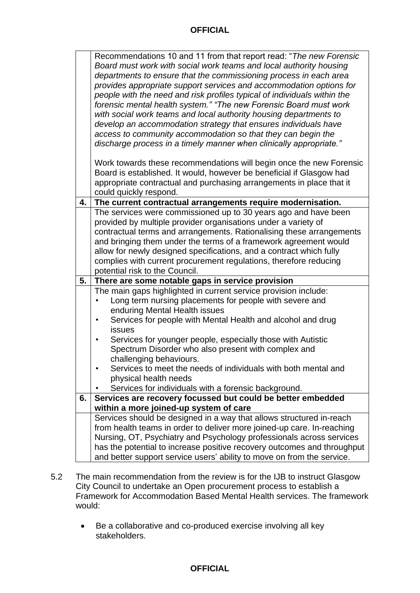|    | Recommendations 10 and 11 from that report read: "The new Forensic<br>Board must work with social work teams and local authority housing<br>departments to ensure that the commissioning process in each area<br>provides appropriate support services and accommodation options for<br>people with the need and risk profiles typical of individuals within the |  |
|----|------------------------------------------------------------------------------------------------------------------------------------------------------------------------------------------------------------------------------------------------------------------------------------------------------------------------------------------------------------------|--|
|    | forensic mental health system." "The new Forensic Board must work<br>with social work teams and local authority housing departments to                                                                                                                                                                                                                           |  |
|    | develop an accommodation strategy that ensures individuals have                                                                                                                                                                                                                                                                                                  |  |
|    | access to community accommodation so that they can begin the<br>discharge process in a timely manner when clinically appropriate."                                                                                                                                                                                                                               |  |
|    | Work towards these recommendations will begin once the new Forensic<br>Board is established. It would, however be beneficial if Glasgow had<br>appropriate contractual and purchasing arrangements in place that it<br>could quickly respond.                                                                                                                    |  |
| 4. | The current contractual arrangements require modernisation.                                                                                                                                                                                                                                                                                                      |  |
|    | The services were commissioned up to 30 years ago and have been<br>provided by multiple provider organisations under a variety of<br>contractual terms and arrangements. Rationalising these arrangements<br>and bringing them under the terms of a framework agreement would<br>allow for newly designed specifications, and a contract which fully             |  |
|    |                                                                                                                                                                                                                                                                                                                                                                  |  |
|    | complies with current procurement regulations, therefore reducing<br>potential risk to the Council.                                                                                                                                                                                                                                                              |  |
| 5. | There are some notable gaps in service provision                                                                                                                                                                                                                                                                                                                 |  |
|    | The main gaps highlighted in current service provision include:                                                                                                                                                                                                                                                                                                  |  |
|    | Long term nursing placements for people with severe and                                                                                                                                                                                                                                                                                                          |  |
|    | enduring Mental Health issues                                                                                                                                                                                                                                                                                                                                    |  |
|    | Services for people with Mental Health and alcohol and drug<br>$\bullet$                                                                                                                                                                                                                                                                                         |  |
|    | issues                                                                                                                                                                                                                                                                                                                                                           |  |
|    | Services for younger people, especially those with Autistic<br>Spectrum Disorder who also present with complex and                                                                                                                                                                                                                                               |  |
|    | challenging behaviours.                                                                                                                                                                                                                                                                                                                                          |  |
|    | Services to meet the needs of individuals with both mental and                                                                                                                                                                                                                                                                                                   |  |
|    | physical health needs                                                                                                                                                                                                                                                                                                                                            |  |
|    | Services for individuals with a forensic background.                                                                                                                                                                                                                                                                                                             |  |
| 6. | Services are recovery focussed but could be better embedded<br>within a more joined-up system of care                                                                                                                                                                                                                                                            |  |
|    | Services should be designed in a way that allows structured in-reach                                                                                                                                                                                                                                                                                             |  |
|    | from health teams in order to deliver more joined-up care. In-reaching                                                                                                                                                                                                                                                                                           |  |
|    | Nursing, OT, Psychiatry and Psychology professionals across services                                                                                                                                                                                                                                                                                             |  |
|    | has the potential to increase positive recovery outcomes and throughput<br>and better support service users' ability to move on from the service.                                                                                                                                                                                                                |  |

- 5.2 The main recommendation from the review is for the IJB to instruct Glasgow City Council to undertake an Open procurement process to establish a Framework for Accommodation Based Mental Health services. The framework would:
	- Be a collaborative and co-produced exercise involving all key stakeholders.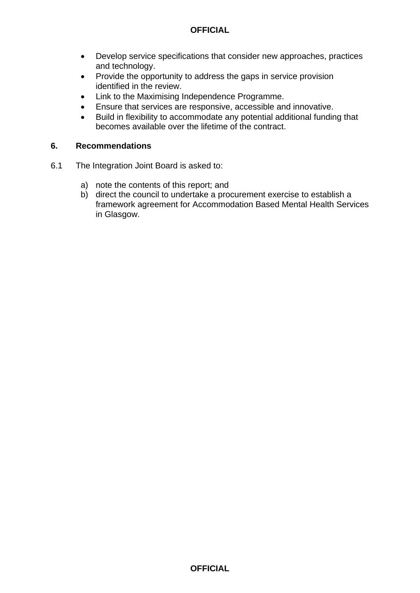- Develop service specifications that consider new approaches, practices and technology.
- Provide the opportunity to address the gaps in service provision identified in the review.
- Link to the Maximising Independence Programme.
- Ensure that services are responsive, accessible and innovative.
- Build in flexibility to accommodate any potential additional funding that becomes available over the lifetime of the contract.

#### **6. Recommendations**

- 6.1 The Integration Joint Board is asked to:
	- a) note the contents of this report; and
	- b) direct the council to undertake a procurement exercise to establish a framework agreement for Accommodation Based Mental Health Services in Glasgow.